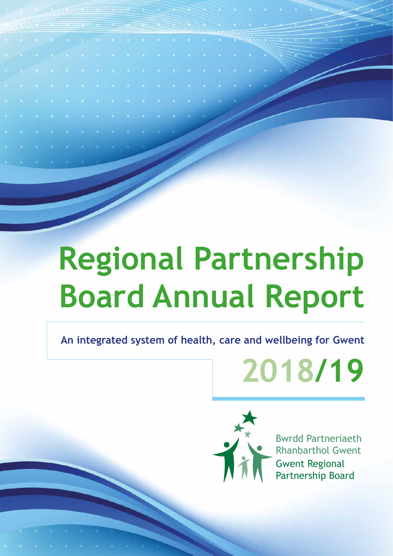# **Regional Partnership Board Annual Report**

**An integrated system of health, care and wellbeing for Gwent**

**2018/19**



Bwrdd Partneriaeth Rhanbarthol Gwent Gwent Regional Partnership Board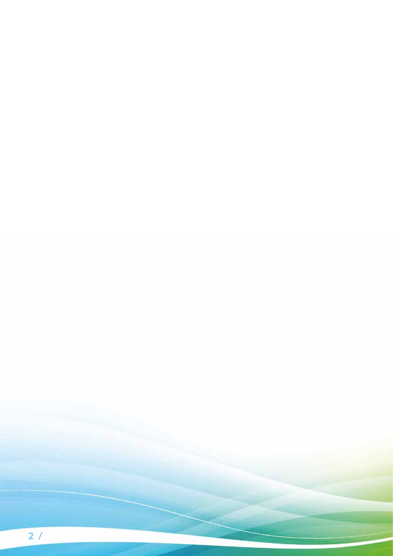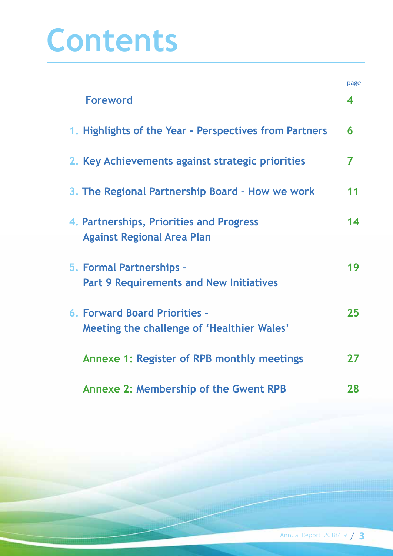# **Contents**

|                                                                               | page            |
|-------------------------------------------------------------------------------|-----------------|
| <b>Foreword</b>                                                               | 4               |
| 1. Highlights of the Year - Perspectives from Partners                        | 6               |
| 2. Key Achievements against strategic priorities                              | 7               |
| 3. The Regional Partnership Board - How we work                               | 11              |
| 4. Partnerships, Priorities and Progress<br><b>Against Regional Area Plan</b> | 14              |
| 5. Formal Partnerships -<br><b>Part 9 Requirements and New Initiatives</b>    | 19              |
| 6. Forward Board Priorities -<br>Meeting the challenge of 'Healthier Wales'   | 25 <sub>2</sub> |
| Annexe 1: Register of RPB monthly meetings                                    | 27              |
| <b>Annexe 2: Membership of the Gwent RPB</b>                                  | 28              |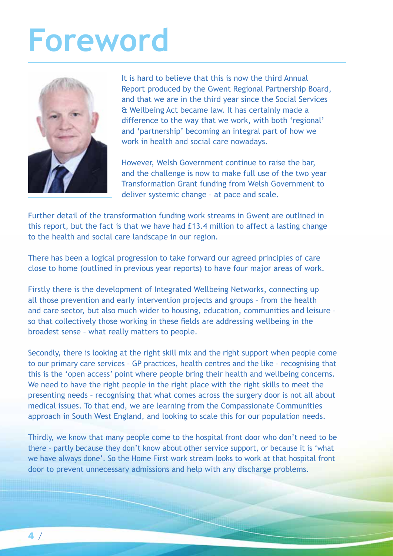# **Foreword**



It is hard to believe that this is now the third Annual Report produced by the Gwent Regional Partnership Board, and that we are in the third year since the Social Services & Wellbeing Act became law. It has certainly made a difference to the way that we work, with both 'regional' and 'partnership' becoming an integral part of how we work in health and social care nowadays.

However, Welsh Government continue to raise the bar, and the challenge is now to make full use of the two year Transformation Grant funding from Welsh Government to deliver systemic change – at pace and scale.

Further detail of the transformation funding work streams in Gwent are outlined in this report, but the fact is that we have had £13.4 million to affect a lasting change to the health and social care landscape in our region.

There has been a logical progression to take forward our agreed principles of care close to home (outlined in previous year reports) to have four major areas of work.

Firstly there is the development of Integrated Wellbeing Networks, connecting up all those prevention and early intervention projects and groups – from the health and care sector, but also much wider to housing, education, communities and leisure – so that collectively those working in these fields are addressing wellbeing in the broadest sense – what really matters to people.

Secondly, there is looking at the right skill mix and the right support when people come to our primary care services – GP practices, health centres and the like – recognising that this is the 'open access' point where people bring their health and wellbeing concerns. We need to have the right people in the right place with the right skills to meet the presenting needs – recognising that what comes across the surgery door is not all about medical issues. To that end, we are learning from the Compassionate Communities approach in South West England, and looking to scale this for our population needs.

Thirdly, we know that many people come to the hospital front door who don't need to be there – partly because they don't know about other service support, or because it is 'what we have always done'. So the Home First work stream looks to work at that hospital front door to prevent unnecessary admissions and help with any discharge problems.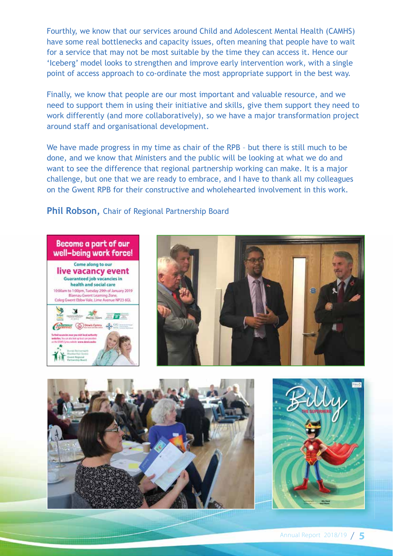Fourthly, we know that our services around Child and Adolescent Mental Health (CAMHS) have some real bottlenecks and capacity issues, often meaning that people have to wait for a service that may not be most suitable by the time they can access it. Hence our 'Iceberg' model looks to strengthen and improve early intervention work, with a single point of access approach to co-ordinate the most appropriate support in the best way.

Finally, we know that people are our most important and valuable resource, and we need to support them in using their initiative and skills, give them support they need to work differently (and more collaboratively), so we have a major transformation project around staff and organisational development.

We have made progress in my time as chair of the RPB – but there is still much to be done, and we know that Ministers and the public will be looking at what we do and want to see the difference that regional partnership working can make. It is a major challenge, but one that we are ready to embrace, and I have to thank all my colleagues on the Gwent RPB for their constructive and wholehearted involvement in this work.

**Phil Robson,** Chair of Regional Partnership Board





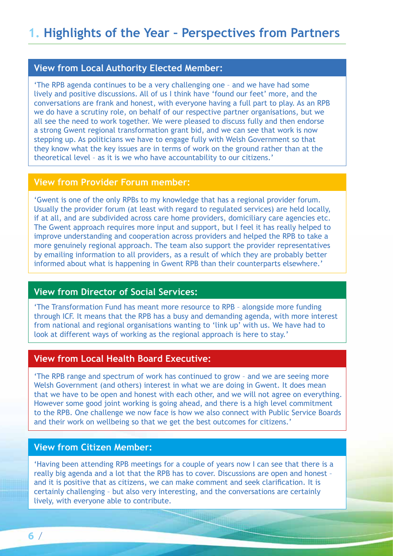#### **View from Local Authority Elected Member:**

'The RPB agenda continues to be a very challenging one – and we have had some lively and positive discussions. All of us I think have 'found our feet' more, and the conversations are frank and honest, with everyone having a full part to play. As an RPB we do have a scrutiny role, on behalf of our respective partner organisations, but we all see the need to work together. We were pleased to discuss fully and then endorse a strong Gwent regional transformation grant bid, and we can see that work is now stepping up. As politicians we have to engage fully with Welsh Government so that they know what the key issues are in terms of work on the ground rather than at the theoretical level – as it is we who have accountability to our citizens.'

#### **View from Provider Forum member:**

'Gwent is one of the only RPBs to my knowledge that has a regional provider forum. Usually the provider forum (at least with regard to regulated services) are held locally, if at all, and are subdivided across care home providers, domiciliary care agencies etc. The Gwent approach requires more input and support, but I feel it has really helped to improve understanding and cooperation across providers and helped the RPB to take a more genuinely regional approach. The team also support the provider representatives by emailing information to all providers, as a result of which they are probably better informed about what is happening in Gwent RPB than their counterparts elsewhere.'

#### **View from Director of Social Services:**

'The Transformation Fund has meant more resource to RPB – alongside more funding through ICF. It means that the RPB has a busy and demanding agenda, with more interest from national and regional organisations wanting to 'link up' with us. We have had to look at different ways of working as the regional approach is here to stay.'

#### **View from Local Health Board Executive:**

'The RPB range and spectrum of work has continued to grow – and we are seeing more Welsh Government (and others) interest in what we are doing in Gwent. It does mean that we have to be open and honest with each other, and we will not agree on everything. However some good joint working is going ahead, and there is a high level commitment to the RPB. One challenge we now face is how we also connect with Public Service Boards and their work on wellbeing so that we get the best outcomes for citizens.'

#### **View from Citizen Member:**

'Having been attending RPB meetings for a couple of years now I can see that there is a really big agenda and a lot that the RPB has to cover. Discussions are open and honest – and it is positive that as citizens, we can make comment and seek clarification. It is certainly challenging – but also very interesting, and the conversations are certainly lively, with everyone able to contribute.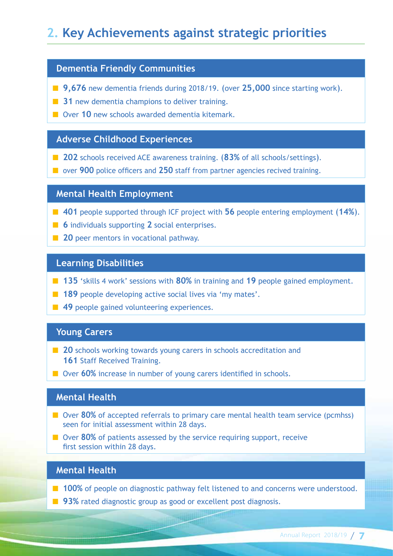# **2. Key Achievements against strategic priorities**

#### **Dementia Friendly Communities**

- 9,676 new dementia friends during 2018/19. (over 25,000 since starting work).
- **1** 31 new dementia champions to deliver training.
- **n** Over 10 new schools awarded dementia kitemark.

#### **Adverse Childhood Experiences**

- **n 202** schools received ACE awareness training. (83% of all schools/settings).
- over 900 police officers and 250 staff from partner agencies recived training.

#### **Mental Health Employment**

- 401 people supported through ICF project with 56 people entering employment (14%).
- **n** 6 individuals supporting 2 social enterprises.
- **20** peer mentors in vocational pathway.

#### **Learning Disabilities**

- 135 'skills 4 work' sessions with 80% in training and 19 people gained employment.
- **189** people developing active social lives via 'my mates'.
- **49** people gained volunteering experiences.

#### **Young Carers**

- **n 20** schools working towards young carers in schools accreditation and **161** Staff Received Training.
- Over 60% increase in number of young carers identified in schools.

#### **Mental Health**

- **n** Over 80% of accepted referrals to primary care mental health team service (pcmhss) seen for initial assessment within 28 days.
- **n** Over 80% of patients assessed by the service requiring support, receive first session within 28 days.

#### **Mental Health**

- **n** 100% of people on diagnostic pathway felt listened to and concerns were understood.
- **93%** rated diagnostic group as good or excellent post diagnosis.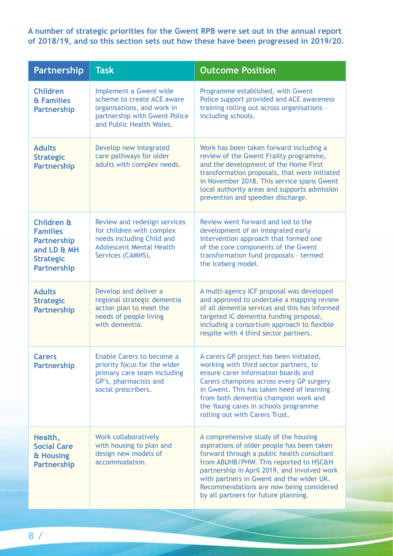**A number of strategic priorities for the Gwent RPB were set out in the annual report of 2018/19, and so this section sets out how these have been progressed in 2019/20.** 

| <b>Partnership</b>                                                                                           | <b>Task</b>                                                                                                                                     | <b>Outcome Position</b>                                                                                                                                                                                                                                                                                                                                    |
|--------------------------------------------------------------------------------------------------------------|-------------------------------------------------------------------------------------------------------------------------------------------------|------------------------------------------------------------------------------------------------------------------------------------------------------------------------------------------------------------------------------------------------------------------------------------------------------------------------------------------------------------|
| <b>Children</b><br>& Families<br><b>Partnership</b>                                                          | Implement a Gwent wide<br>scheme to create ACE aware<br>organisations, and work in<br>partnership with Gwent Police<br>and Public Health Wales. | Programme established, with Gwent<br>Police support provided and ACE awareness<br>training rolling out across organisations -<br>including schools.                                                                                                                                                                                                        |
| <b>Adults</b><br><b>Strategic</b><br><b>Partnership</b>                                                      | Develop new integrated<br>care pathways for older<br>adults with complex needs.                                                                 | Work has been taken forward including a<br>review of the Gwent Frailty programme,<br>and the development of the Home First<br>transformation proposals, that were initiated<br>in November 2018. This service spans Gwent<br>local authority areas and supports admission<br>prevention and speedier discharge.                                            |
| Children &<br><b>Families</b><br><b>Partnership</b><br>and LD & MH<br><b>Strategic</b><br><b>Partnership</b> | Review and redesign services<br>for children with complex<br>needs including Child and<br><b>Adolescent Mental Health</b><br>Services (CAMHS).  | Review went forward and led to the<br>development of an integrated early<br>intervention approach that formed one<br>of the core components of the Gwent<br>transformation fund proposals - termed<br>the Iceberg model.                                                                                                                                   |
| <b>Adults</b><br><b>Strategic</b><br><b>Partnership</b>                                                      | Develop and deliver a<br>regional strategic dementia<br>action plan to meet the<br>needs of people living<br>with dementia.                     | A multi-agency ICF proposal was developed<br>and approved to undertake a mapping review<br>of all dementia services and this has informed<br>targeted IC dementia funding proposal,<br>including a consortium approach to flexible<br>respite with 4 third sector partners.                                                                                |
| <b>Carers</b><br><b>Partnership</b>                                                                          | <b>Enable Carers to become a</b><br>priority focus for the wider<br>primary care team including<br>GP's, pharmacists and<br>social prescribers. | A carers GP project has been initiated,<br>working with third sector partners, to<br>ensure carer information boards and<br>Carers champions across every GP surgery<br>in Gwent. This has taken heed of learning<br>from both dementia champion work and<br>the Young cares in schools programme<br>rolling out with Carers Trust.                        |
| Health,<br><b>Social Care</b><br>& Housing<br><b>Partnership</b>                                             | Work collaboratively<br>with housing to plan and<br>design new models of<br>accommodation.                                                      | A comprehensive study of the housing<br>aspirations of older people has been taken<br>forward through a public health consultant<br>from ABUHB/PHW. This reported to HSC&H<br>partnership in April 2019, and involved work<br>with partners in Gwent and the wider UK.<br>Recommendations are now being considered<br>by all partners for future planning. |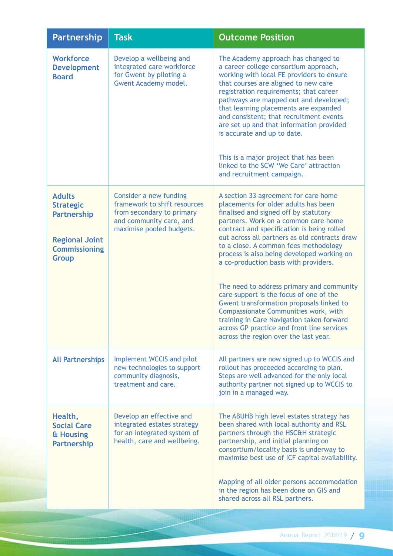| <b>Partnership</b>                                                                                                       | <b>Task</b>                                                                                                                                | <b>Outcome Position</b>                                                                                                                                                                                                                                                                                                                                                                                                                                                                                                                                                                                                                                                                                      |
|--------------------------------------------------------------------------------------------------------------------------|--------------------------------------------------------------------------------------------------------------------------------------------|--------------------------------------------------------------------------------------------------------------------------------------------------------------------------------------------------------------------------------------------------------------------------------------------------------------------------------------------------------------------------------------------------------------------------------------------------------------------------------------------------------------------------------------------------------------------------------------------------------------------------------------------------------------------------------------------------------------|
| <b>Workforce</b><br><b>Development</b><br><b>Board</b>                                                                   | Develop a wellbeing and<br>integrated care workforce<br>for Gwent by piloting a<br>Gwent Academy model.                                    | The Academy approach has changed to<br>a career college consortium approach,<br>working with local FE providers to ensure<br>that courses are aligned to new care<br>registration requirements; that career<br>pathways are mapped out and developed;<br>that learning placements are expanded<br>and consistent; that recruitment events<br>are set up and that information provided<br>is accurate and up to date.<br>This is a major project that has been<br>linked to the SCW 'We Care' attraction<br>and recruitment campaign.                                                                                                                                                                         |
| <b>Adults</b><br><b>Strategic</b><br><b>Partnership</b><br><b>Regional Joint</b><br><b>Commissioning</b><br><b>Group</b> | Consider a new funding<br>framework to shift resources<br>from secondary to primary<br>and community care, and<br>maximise pooled budgets. | A section 33 agreement for care home<br>placements for older adults has been<br>finalised and signed off by statutory<br>partners. Work on a common care home<br>contract and specification is being rolled<br>out across all partners as old contracts draw<br>to a close. A common fees methodology<br>process is also being developed working on<br>a co-production basis with providers.<br>The need to address primary and community<br>care support is the focus of one of the<br>Gwent transformation proposals linked to<br>Compassionate Communities work, with<br>training in Care Navigation taken forward<br>across GP practice and front line services<br>across the region over the last year. |
| <b>All Partnerships</b>                                                                                                  | Implement WCCIS and pilot<br>new technologies to support<br>community diagnosis,<br>treatment and care.                                    | All partners are now signed up to WCCIS and<br>rollout has proceeded according to plan.<br>Steps are well advanced for the only local<br>authority partner not signed up to WCCIS to<br>join in a managed way.                                                                                                                                                                                                                                                                                                                                                                                                                                                                                               |
| Health,<br><b>Social Care</b><br>& Housing<br><b>Partnership</b>                                                         | Develop an effective and<br>integrated estates strategy<br>for an integrated system of<br>health, care and wellbeing.                      | The ABUHB high level estates strategy has<br>been shared with local authority and RSL<br>partners through the HSC&H strategic<br>partnership, and initial planning on<br>consortium/locality basis is underway to<br>maximise best use of ICF capital availability.<br>Mapping of all older persons accommodation<br>in the region has been done on GIS and<br>shared across all RSL partners.                                                                                                                                                                                                                                                                                                               |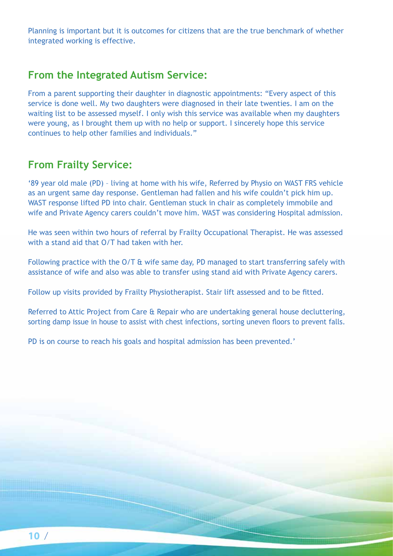Planning is important but it is outcomes for citizens that are the true benchmark of whether integrated working is effective.

## **From the Integrated Autism Service:**

From a parent supporting their daughter in diagnostic appointments: "Every aspect of this service is done well. My two daughters were diagnosed in their late twenties. I am on the waiting list to be assessed myself. I only wish this service was available when my daughters were young, as I brought them up with no help or support. I sincerely hope this service continues to help other families and individuals."

## **From Frailty Service:**

'89 year old male (PD) – living at home with his wife, Referred by Physio on WAST FRS vehicle as an urgent same day response. Gentleman had fallen and his wife couldn't pick him up. WAST response lifted PD into chair. Gentleman stuck in chair as completely immobile and wife and Private Agency carers couldn't move him. WAST was considering Hospital admission.

He was seen within two hours of referral by Frailty Occupational Therapist. He was assessed with a stand aid that O/T had taken with her.

Following practice with the O/T & wife same day, PD managed to start transferring safely with assistance of wife and also was able to transfer using stand aid with Private Agency carers.

Follow up visits provided by Frailty Physiotherapist. Stair lift assessed and to be fitted.

Referred to Attic Project from Care & Repair who are undertaking general house decluttering, sorting damp issue in house to assist with chest infections, sorting uneven floors to prevent falls.

PD is on course to reach his goals and hospital admission has been prevented.'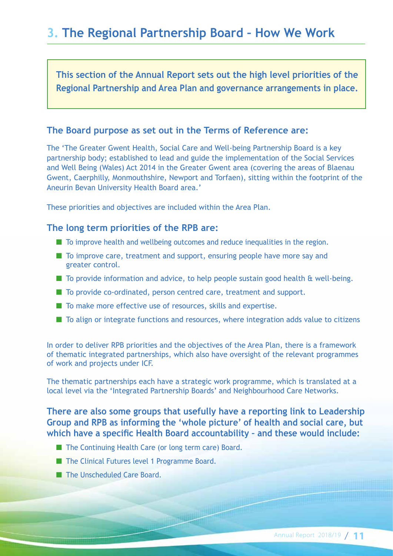# **3. The Regional Partnership Board – How We Work**

**This section of the Annual Report sets out the high level priorities of the Regional Partnership and Area Plan and governance arrangements in place.** 

## **The Board purpose as set out in the Terms of Reference are:**

The 'The Greater Gwent Health, Social Care and Well-being Partnership Board is a key partnership body; established to lead and guide the implementation of the Social Services and Well Being (Wales) Act 2014 in the Greater Gwent area (covering the areas of Blaenau Gwent, Caerphilly, Monmouthshire, Newport and Torfaen), sitting within the footprint of the Aneurin Bevan University Health Board area.'

These priorities and objectives are included within the Area Plan.

#### **The long term priorities of the RPB are:**

- $\blacksquare$  To improve health and wellbeing outcomes and reduce inequalities in the region.
- To improve care, treatment and support, ensuring people have more say and greater control.
- To provide information and advice, to help people sustain good health & well-being.
- To provide co-ordinated, person centred care, treatment and support.
- $\blacksquare$  To make more effective use of resources, skills and expertise.
- $\blacksquare$  To align or integrate functions and resources, where integration adds value to citizens

In order to deliver RPB priorities and the objectives of the Area Plan, there is a framework of thematic integrated partnerships, which also have oversight of the relevant programmes of work and projects under ICF.

The thematic partnerships each have a strategic work programme, which is translated at a local level via the 'Integrated Partnership Boards' and Neighbourhood Care Networks.

**There are also some groups that usefully have a reporting link to Leadership Group and RPB as informing the 'whole picture' of health and social care, but which have a specific Health Board accountability – and these would include:**

- The Continuing Health Care (or long term care) Board.
- The Clinical Futures level 1 Programme Board.
- **n** The Unscheduled Care Board.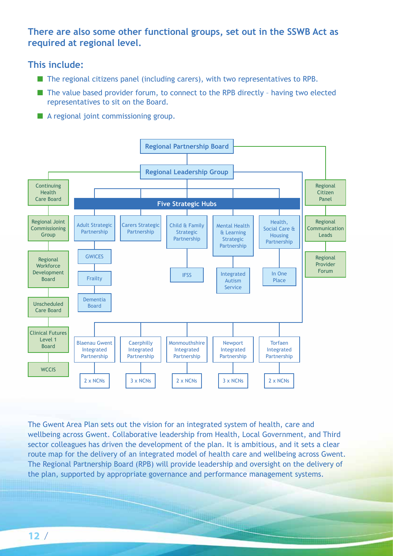### **There are also some other functional groups, set out in the SSWB Act as required at regional level.**

#### **This include:**

- $\blacksquare$  The regional citizens panel (including carers), with two representatives to RPB.
- $\blacksquare$  The value based provider forum, to connect to the RPB directly having two elected representatives to sit on the Board.
- A regional joint commissioning group.



The Gwent Area Plan sets out the vision for an integrated system of health, care and wellbeing across Gwent. Collaborative leadership from Health, Local Government, and Third sector colleagues has driven the development of the plan. It is ambitious, and it sets a clear route map for the delivery of an integrated model of health care and wellbeing across Gwent. The Regional Partnership Board (RPB) will provide leadership and oversight on the delivery of the plan, supported by appropriate governance and performance management systems.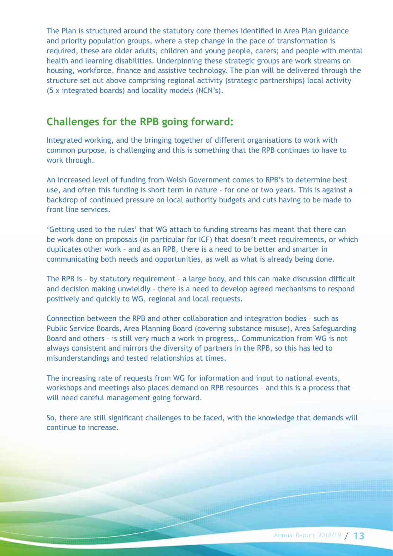The Plan is structured around the statutory core themes identified in Area Plan guidance and priority population groups, where a step change in the pace of transformation is required, these are older adults, children and young people, carers; and people with mental health and learning disabilities. Underpinning these strategic groups are work streams on housing, workforce, finance and assistive technology. The plan will be delivered through the structure set out above comprising regional activity (strategic partnerships) local activity (5 x integrated boards) and locality models (NCN's).

## **Challenges for the RPB going forward:**

Integrated working, and the bringing together of different organisations to work with common purpose, is challenging and this is something that the RPB continues to have to work through.

An increased level of funding from Welsh Government comes to RPB's to determine best use, and often this funding is short term in nature – for one or two years. This is against a backdrop of continued pressure on local authority budgets and cuts having to be made to front line services.

'Getting used to the rules' that WG attach to funding streams has meant that there can be work done on proposals (in particular for ICF) that doesn't meet requirements, or which duplicates other work – and as an RPB, there is a need to be better and smarter in communicating both needs and opportunities, as well as what is already being done.

The RPB is – by statutory requirement – a large body, and this can make discussion difficult and decision making unwieldly – there is a need to develop agreed mechanisms to respond positively and quickly to WG, regional and local requests.

Connection between the RPB and other collaboration and integration bodies – such as Public Service Boards, Area Planning Board (covering substance misuse), Area Safeguarding Board and others – is still very much a work in progress,. Communication from WG is not always consistent and mirrors the diversity of partners in the RPB, so this has led to misunderstandings and tested relationships at times.

The increasing rate of requests from WG for information and input to national events, workshops and meetings also places demand on RPB resources – and this is a process that will need careful management going forward.

So, there are still significant challenges to be faced, with the knowledge that demands will continue to increase.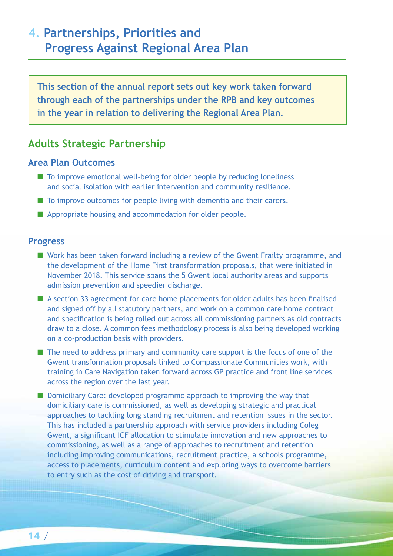## **4. Partnerships, Priorities and Progress Against Regional Area Plan**

**This section of the annual report sets out key work taken forward through each of the partnerships under the RPB and key outcomes in the year in relation to delivering the Regional Area Plan.**

## **Adults Strategic Partnership**

#### **Area Plan Outcomes**

- $\blacksquare$  To improve emotional well-being for older people by reducing loneliness and social isolation with earlier intervention and community resilience.
- $\blacksquare$  To improve outcomes for people living with dementia and their carers.
- **n** Appropriate housing and accommodation for older people.

#### **Progress**

- Work has been taken forward including a review of the Gwent Frailty programme, and the development of the Home First transformation proposals, that were initiated in November 2018. This service spans the 5 Gwent local authority areas and supports admission prevention and speedier discharge.
- $\blacksquare$  A section 33 agreement for care home placements for older adults has been finalised and signed off by all statutory partners, and work on a common care home contract and specification is being rolled out across all commissioning partners as old contracts draw to a close. A common fees methodology process is also being developed working on a co-production basis with providers.
- $\blacksquare$  The need to address primary and community care support is the focus of one of the Gwent transformation proposals linked to Compassionate Communities work, with training in Care Navigation taken forward across GP practice and front line services across the region over the last year.
- Domiciliary Care: developed programme approach to improving the way that domiciliary care is commissioned, as well as developing strategic and practical approaches to tackling long standing recruitment and retention issues in the sector. This has included a partnership approach with service providers including Coleg Gwent, a significant ICF allocation to stimulate innovation and new approaches to commissioning, as well as a range of approaches to recruitment and retention including improving communications, recruitment practice, a schools programme, access to placements, curriculum content and exploring ways to overcome barriers to entry such as the cost of driving and transport.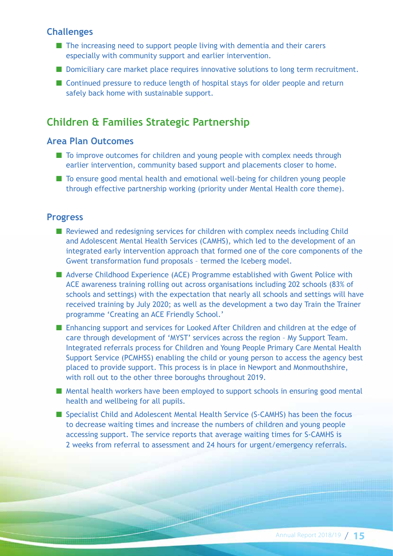#### **Challenges**

- $\blacksquare$  The increasing need to support people living with dementia and their carers especially with community support and earlier intervention.
- Domiciliary care market place requires innovative solutions to long term recruitment.
- Continued pressure to reduce length of hospital stays for older people and return safely back home with sustainable support.

## **Children & Families Strategic Partnership**

#### **Area Plan Outcomes**

- $\blacksquare$  To improve outcomes for children and young people with complex needs through earlier intervention, community based support and placements closer to home.
- $\blacksquare$  To ensure good mental health and emotional well-being for children young people through effective partnership working (priority under Mental Health core theme).

#### **Progress**

- $\blacksquare$  Reviewed and redesigning services for children with complex needs including Child and Adolescent Mental Health Services (CAMHS), which led to the development of an integrated early intervention approach that formed one of the core components of the Gwent transformation fund proposals – termed the Iceberg model.
- Adverse Childhood Experience (ACE) Programme established with Gwent Police with ACE awareness training rolling out across organisations including 202 schools (83% of schools and settings) with the expectation that nearly all schools and settings will have received training by July 2020; as well as the development a two day Train the Trainer programme 'Creating an ACE Friendly School.'
- Enhancing support and services for Looked After Children and children at the edge of care through development of 'MYST' services across the region – My Support Team. Integrated referrals process for Children and Young People Primary Care Mental Health Support Service (PCMHSS) enabling the child or young person to access the agency best placed to provide support. This process is in place in Newport and Monmouthshire, with roll out to the other three boroughs throughout 2019.
- $\blacksquare$  Mental health workers have been employed to support schools in ensuring good mental health and wellbeing for all pupils.
- Specialist Child and Adolescent Mental Health Service (S-CAMHS) has been the focus to decrease waiting times and increase the numbers of children and young people accessing support. The service reports that average waiting times for S-CAMHS is 2 weeks from referral to assessment and 24 hours for urgent/emergency referrals.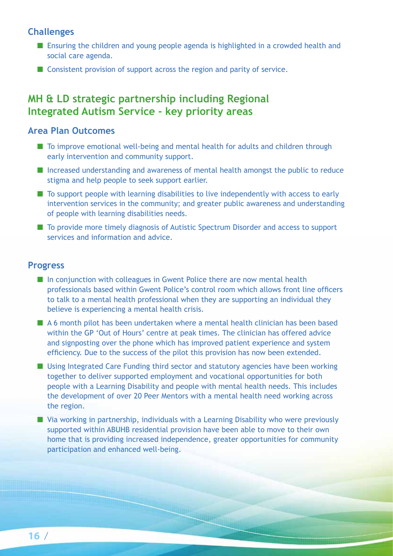## **Challenges**

- $\blacksquare$  Ensuring the children and young people agenda is highlighted in a crowded health and social care agenda.
- $\blacksquare$  Consistent provision of support across the region and parity of service.

## **MH & LD strategic partnership including Regional Integrated Autism Service - key priority areas**

#### **Area Plan Outcomes**

- $\blacksquare$  To improve emotional well-being and mental health for adults and children through early intervention and community support.
- $\blacksquare$  Increased understanding and awareness of mental health amongst the public to reduce stigma and help people to seek support earlier.
- $\blacksquare$  To support people with learning disabilities to live independently with access to early intervention services in the community; and greater public awareness and understanding of people with learning disabilities needs.
- To provide more timely diagnosis of Autistic Spectrum Disorder and access to support services and information and advice.

#### **Progress**

- In Conjunction with colleagues in Gwent Police there are now mental health professionals based within Gwent Police's control room which allows front line officers to talk to a mental health professional when they are supporting an individual they believe is experiencing a mental health crisis.
- $\blacksquare$  A 6 month pilot has been undertaken where a mental health clinician has been based within the GP 'Out of Hours' centre at peak times. The clinician has offered advice and signposting over the phone which has improved patient experience and system efficiency. Due to the success of the pilot this provision has now been extended.
- $\blacksquare$  Using Integrated Care Funding third sector and statutory agencies have been working together to deliver supported employment and vocational opportunities for both people with a Learning Disability and people with mental health needs. This includes the development of over 20 Peer Mentors with a mental health need working across the region.
- Via working in partnership, individuals with a Learning Disability who were previously supported within ABUHB residential provision have been able to move to their own home that is providing increased independence, greater opportunities for community participation and enhanced well-being.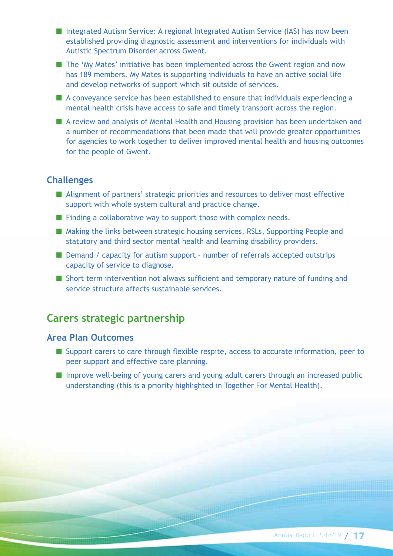- Integrated Autism Service: A regional Integrated Autism Service (IAS) has now been established providing diagnostic assessment and interventions for individuals with Autistic Spectrum Disorder across Gwent.
- The 'My Mates' initiative has been implemented across the Gwent region and now has 189 members. My Mates is supporting individuals to have an active social life and develop networks of support which sit outside of services.
- $\blacksquare$  A conveyance service has been established to ensure that individuals experiencing a mental health crisis have access to safe and timely transport across the region.
- A review and analysis of Mental Health and Housing provision has been undertaken and a number of recommendations that been made that will provide greater opportunities for agencies to work together to deliver improved mental health and housing outcomes for the people of Gwent.

#### **Challenges**

- Alignment of partners' strategic priorities and resources to deliver most effective support with whole system cultural and practice change.
- $\blacksquare$  Finding a collaborative way to support those with complex needs.
- $\blacksquare$  Making the links between strategic housing services, RSLs, Supporting People and statutory and third sector mental health and learning disability providers.
- Demand / capacity for autism support number of referrals accepted outstrips capacity of service to diagnose.
- Short term intervention not always sufficient and temporary nature of funding and service structure affects sustainable services.

## **Carers strategic partnership**

#### **Area Plan Outcomes**

- Support carers to care through flexible respite, access to accurate information, peer to peer support and effective care planning.
- **n** Improve well-being of young carers and young adult carers through an increased public understanding (this is a priority highlighted in Together For Mental Health).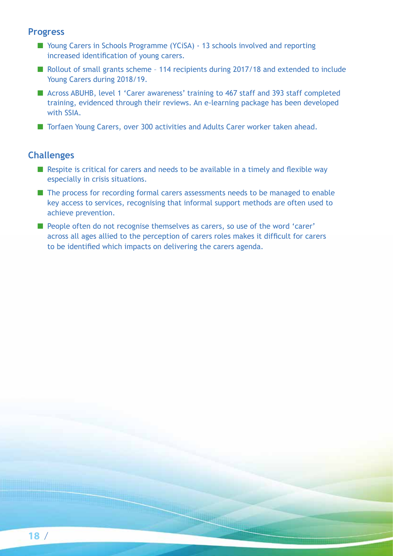#### **Progress**

- Young Carers in Schools Programme (YCiSA) 13 schools involved and reporting increased identification of young carers.
- Rollout of small grants scheme 114 recipients during 2017/18 and extended to include Young Carers during 2018/19.
- Across ABUHB, level 1 'Carer awareness' training to 467 staff and 393 staff completed training, evidenced through their reviews. An e-learning package has been developed with SSIA.
- Torfaen Young Carers, over 300 activities and Adults Carer worker taken ahead.

#### **Challenges**

- Respite is critical for carers and needs to be available in a timely and flexible way especially in crisis situations.
- The process for recording formal carers assessments needs to be managed to enable key access to services, recognising that informal support methods are often used to achieve prevention.
- **n** People often do not recognise themselves as carers, so use of the word 'carer' across all ages allied to the perception of carers roles makes it difficult for carers to be identified which impacts on delivering the carers agenda.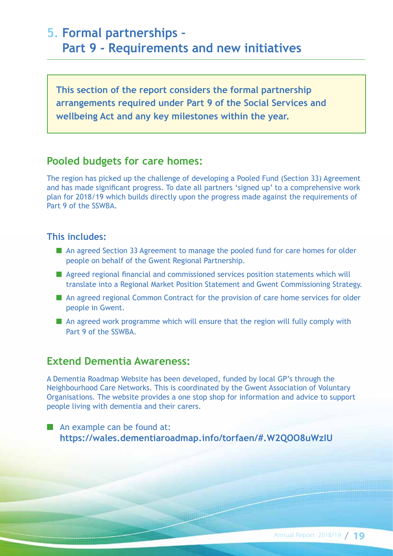# **5. Formal partnerships – Part 9 - Requirements and new initiatives**

**This section of the report considers the formal partnership arrangements required under Part 9 of the Social Services and wellbeing Act and any key milestones within the year.**

## **Pooled budgets for care homes:**

The region has picked up the challenge of developing a Pooled Fund (Section 33) Agreement and has made significant progress. To date all partners 'signed up' to a comprehensive work plan for 2018/19 which builds directly upon the progress made against the requirements of Part 9 of the SSWBA.

#### **This includes:**

- An agreed Section 33 Agreement to manage the pooled fund for care homes for older people on behalf of the Gwent Regional Partnership.
- $\blacksquare$  Agreed regional financial and commissioned services position statements which will translate into a Regional Market Position Statement and Gwent Commissioning Strategy.
- An agreed regional Common Contract for the provision of care home services for older people in Gwent.
- $\blacksquare$  An agreed work programme which will ensure that the region will fully comply with Part 9 of the SSWBA.

## **Extend Dementia Awareness:**

A Dementia Roadmap Website has been developed, funded by local GP's through the Neighbourhood Care Networks. This is coordinated by the Gwent Association of Voluntary Organisations. The website provides a one stop shop for information and advice to support people living with dementia and their carers.

 $\blacksquare$  An example can be found at: **https://wales.dementiaroadmap.info/torfaen/#.W2QOO8uWzIU**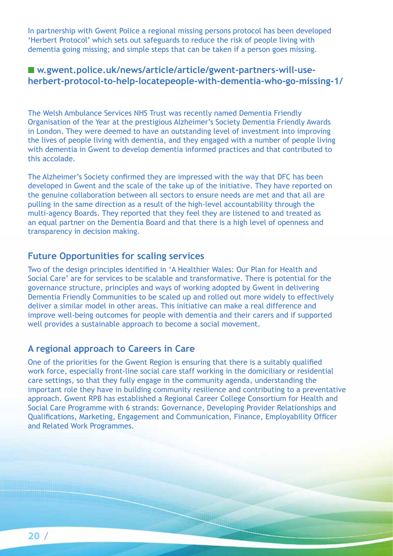In partnership with Gwent Police a regional missing persons protocol has been developed 'Herbert Protocol' which sets out safeguards to reduce the risk of people living with dementia going missing; and simple steps that can be taken if a person goes missing.

#### ■ w.gwent.police.uk/news/article/article/gwent-partners-will-use**herbert-protocol-to-help-locatepeople-with-dementia-who-go-missing-1/**

The Welsh Ambulance Services NHS Trust was recently named Dementia Friendly Organisation of the Year at the prestigious Alzheimer's Society Dementia Friendly Awards in London. They were deemed to have an outstanding level of investment into improving the lives of people living with dementia, and they engaged with a number of people living with dementia in Gwent to develop dementia informed practices and that contributed to this accolade.

The Alzheimer's Society confirmed they are impressed with the way that DFC has been developed in Gwent and the scale of the take up of the initiative. They have reported on the genuine collaboration between all sectors to ensure needs are met and that all are pulling in the same direction as a result of the high-level accountability through the multi-agency Boards. They reported that they feel they are listened to and treated as an equal partner on the Dementia Board and that there is a high level of openness and transparency in decision making.

#### **Future Opportunities for scaling services**

Two of the design principles identified in 'A Healthier Wales: Our Plan for Health and Social Care' are for services to be scalable and transformative. There is potential for the governance structure, principles and ways of working adopted by Gwent in delivering Dementia Friendly Communities to be scaled up and rolled out more widely to effectively deliver a similar model in other areas. This initiative can make a real difference and improve well-being outcomes for people with dementia and their carers and if supported well provides a sustainable approach to become a social movement.

#### **A regional approach to Careers in Care**

One of the priorities for the Gwent Region is ensuring that there is a suitably qualified work force, especially front-line social care staff working in the domiciliary or residential care settings, so that they fully engage in the community agenda, understanding the important role they have in building community resilience and contributing to a preventative approach. Gwent RPB has established a Regional Career College Consortium for Health and Social Care Programme with 6 strands: Governance, Developing Provider Relationships and Qualifications, Marketing, Engagement and Communication, Finance, Employability Officer and Related Work Programmes.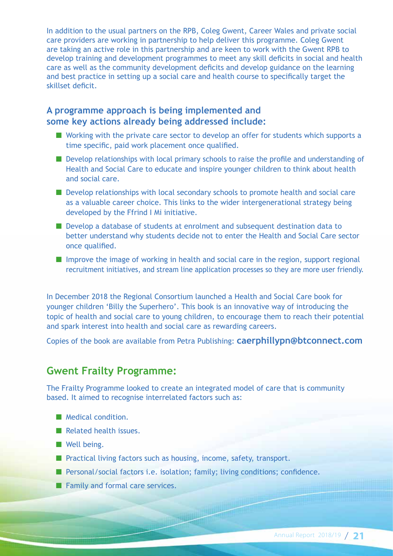In addition to the usual partners on the RPB, Coleg Gwent, Career Wales and private social care providers are working in partnership to help deliver this programme. Coleg Gwent are taking an active role in this partnership and are keen to work with the Gwent RPB to develop training and development programmes to meet any skill deficits in social and health care as well as the community development deficits and develop guidance on the learning and best practice in setting up a social care and health course to specifically target the skillset deficit.

#### **A programme approach is being implemented and some key actions already being addressed include:**

- Working with the private care sector to develop an offer for students which supports a time specific, paid work placement once qualified.
- $\blacksquare$  Develop relationships with local primary schools to raise the profile and understanding of Health and Social Care to educate and inspire younger children to think about health and social care.
- **n** Develop relationships with local secondary schools to promote health and social care as a valuable career choice. This links to the wider intergenerational strategy being developed by the Ffrind I Mi initiative.
- Develop a database of students at enrolment and subsequent destination data to better understand why students decide not to enter the Health and Social Care sector once qualified.
- **n** Improve the image of working in health and social care in the region, support regional recruitment initiatives, and stream line application processes so they are more user friendly.

In December 2018 the Regional Consortium launched a Health and Social Care book for younger children 'Billy the Superhero'. This book is an innovative way of introducing the topic of health and social care to young children, to encourage them to reach their potential and spark interest into health and social care as rewarding careers.

Copies of the book are available from Petra Publishing: **caerphillypn@btconnect.com**

## **Gwent Frailty Programme:**

The Frailty Programme looked to create an integrated model of care that is community based. It aimed to recognise interrelated factors such as:

- **Nedical condition.**
- Related health issues.
- **Nell being.**
- Practical living factors such as housing, income, safety, transport.
- Personal/social factors i.e. isolation; family; living conditions; confidence.
- **n** Family and formal care services.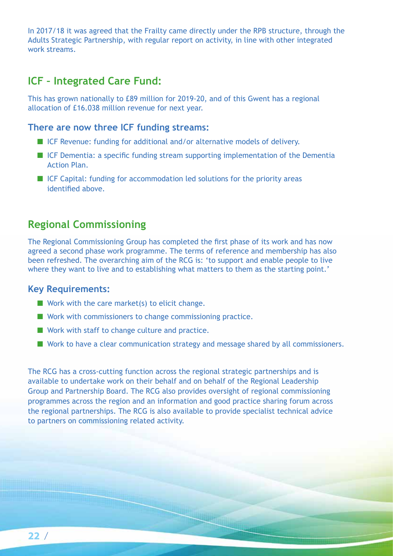In 2017/18 it was agreed that the Frailty came directly under the RPB structure, through the Adults Strategic Partnership, with regular report on activity, in line with other integrated work streams.

## **ICF – Integrated Care Fund:**

This has grown nationally to £89 million for 2019-20, and of this Gwent has a regional allocation of £16.038 million revenue for next year.

#### **There are now three ICF funding streams:**

- ICF Revenue: funding for additional and/or alternative models of delivery.
- **n** ICF Dementia: a specific funding stream supporting implementation of the Dementia Action Plan.
- $\blacksquare$  ICF Capital: funding for accommodation led solutions for the priority areas identified above.

## **Regional Commissioning**

The Regional Commissioning Group has completed the first phase of its work and has now agreed a second phase work programme. The terms of reference and membership has also been refreshed. The overarching aim of the RCG is: 'to support and enable people to live where they want to live and to establishing what matters to them as the starting point.'

#### **Key Requirements:**

- Work with the care market(s) to elicit change.
- $\blacksquare$  Work with commissioners to change commissioning practice.
- $\blacksquare$  Work with staff to change culture and practice.
- Work to have a clear communication strategy and message shared by all commissioners.

The RCG has a cross-cutting function across the regional strategic partnerships and is available to undertake work on their behalf and on behalf of the Regional Leadership Group and Partnership Board. The RCG also provides oversight of regional commissioning programmes across the region and an information and good practice sharing forum across the regional partnerships. The RCG is also available to provide specialist technical advice to partners on commissioning related activity.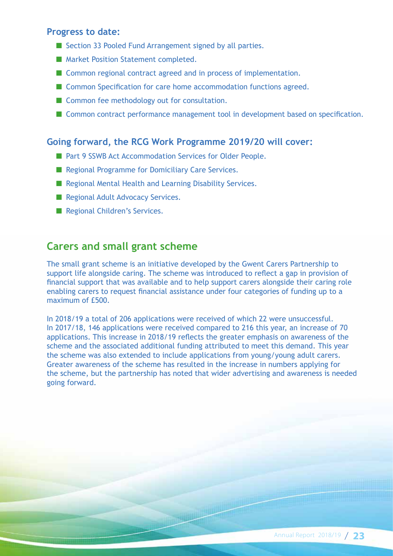#### **Progress to date:**

- $\blacksquare$  Section 33 Pooled Fund Arrangement signed by all parties.
- **n** Market Position Statement completed.
- Common regional contract agreed and in process of implementation.
- **n** Common Specification for care home accommodation functions agreed.
- **n** Common fee methodology out for consultation.
- Common contract performance management tool in development based on specification.

#### **Going forward, the RCG Work Programme 2019/20 will cover:**

- Part 9 SSWB Act Accommodation Services for Older People.
- **n** Regional Programme for Domiciliary Care Services.
- Regional Mental Health and Learning Disability Services.
- Regional Adult Advocacy Services.
- **n** Regional Children's Services.

## **Carers and small grant scheme**

The small grant scheme is an initiative developed by the Gwent Carers Partnership to support life alongside caring. The scheme was introduced to reflect a gap in provision of financial support that was available and to help support carers alongside their caring role enabling carers to request financial assistance under four categories of funding up to a maximum of £500.

In 2018/19 a total of 206 applications were received of which 22 were unsuccessful. In 2017/18, 146 applications were received compared to 216 this year, an increase of 70 applications. This increase in 2018/19 reflects the greater emphasis on awareness of the scheme and the associated additional funding attributed to meet this demand. This year the scheme was also extended to include applications from young/young adult carers. Greater awareness of the scheme has resulted in the increase in numbers applying for the scheme, but the partnership has noted that wider advertising and awareness is needed going forward.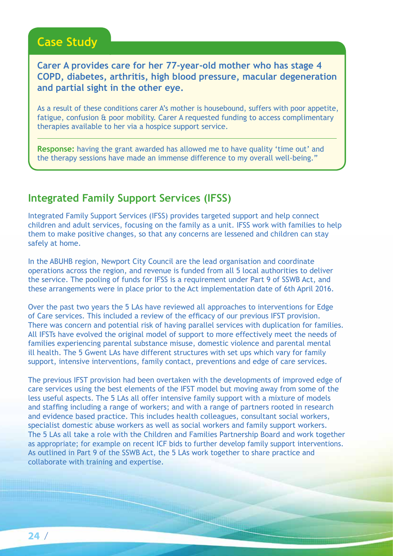## **Case Study**

**Carer A provides care for her 77-year-old mother who has stage 4 COPD, diabetes, arthritis, high blood pressure, macular degeneration and partial sight in the other eye.** 

As a result of these conditions carer A's mother is housebound, suffers with poor appetite, fatigue, confusion & poor mobility. Carer A requested funding to access complimentary therapies available to her via a hospice support service.

**Response:** having the grant awarded has allowed me to have quality 'time out' and the therapy sessions have made an immense difference to my overall well-being."

## **Integrated Family Support Services (IFSS)**

Integrated Family Support Services (IFSS) provides targeted support and help connect children and adult services, focusing on the family as a unit. IFSS work with families to help them to make positive changes, so that any concerns are lessened and children can stay safely at home.

In the ABUHB region, Newport City Council are the lead organisation and coordinate operations across the region, and revenue is funded from all 5 local authorities to deliver the service. The pooling of funds for IFSS is a requirement under Part 9 of SSWB Act, and these arrangements were in place prior to the Act implementation date of 6th April 2016.

Over the past two years the 5 LAs have reviewed all approaches to interventions for Edge of Care services. This included a review of the efficacy of our previous IFST provision. There was concern and potential risk of having parallel services with duplication for families. All IFSTs have evolved the original model of support to more effectively meet the needs of families experiencing parental substance misuse, domestic violence and parental mental ill health. The 5 Gwent LAs have different structures with set ups which vary for family support, intensive interventions, family contact, preventions and edge of care services.

The previous IFST provision had been overtaken with the developments of improved edge of care services using the best elements of the IFST model but moving away from some of the less useful aspects. The 5 LAs all offer intensive family support with a mixture of models and staffing including a range of workers; and with a range of partners rooted in research and evidence based practice. This includes health colleagues, consultant social workers, specialist domestic abuse workers as well as social workers and family support workers. The 5 LAs all take a role with the Children and Families Partnership Board and work together as appropriate; for example on recent ICF bids to further develop family support interventions. As outlined in Part 9 of the SSWB Act, the 5 LAs work together to share practice and collaborate with training and expertise.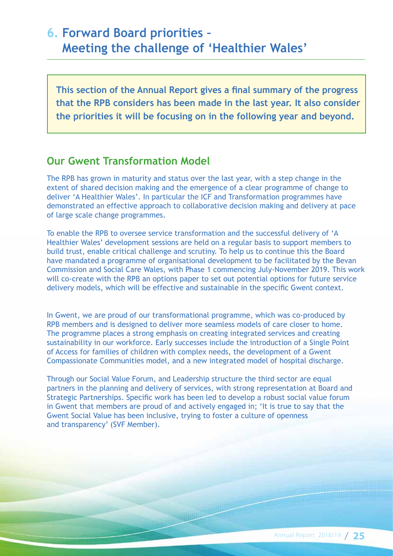## **6. Forward Board priorities – Meeting the challenge of 'Healthier Wales'**

**This section of the Annual Report gives a final summary of the progress that the RPB considers has been made in the last year. It also consider the priorities it will be focusing on in the following year and beyond.**

## **Our Gwent Transformation Model**

The RPB has grown in maturity and status over the last year, with a step change in the extent of shared decision making and the emergence of a clear programme of change to deliver 'A Healthier Wales'. In particular the ICF and Transformation programmes have demonstrated an effective approach to collaborative decision making and delivery at pace of large scale change programmes.

To enable the RPB to oversee service transformation and the successful delivery of 'A Healthier Wales' development sessions are held on a regular basis to support members to build trust, enable critical challenge and scrutiny. To help us to continue this the Board have mandated a programme of organisational development to be facilitated by the Bevan Commission and Social Care Wales, with Phase 1 commencing July-November 2019. This work will co-create with the RPB an options paper to set out potential options for future service delivery models, which will be effective and sustainable in the specific Gwent context.

In Gwent, we are proud of our transformational programme, which was co-produced by RPB members and is designed to deliver more seamless models of care closer to home. The programme places a strong emphasis on creating integrated services and creating sustainability in our workforce. Early successes include the introduction of a Single Point of Access for families of children with complex needs, the development of a Gwent Compassionate Communities model, and a new integrated model of hospital discharge.

Through our Social Value Forum, and Leadership structure the third sector are equal partners in the planning and delivery of services, with strong representation at Board and Strategic Partnerships. Specific work has been led to develop a robust social value forum in Gwent that members are proud of and actively engaged in; 'It is true to say that the Gwent Social Value has been inclusive, trying to foster a culture of openness and transparency' (SVF Member).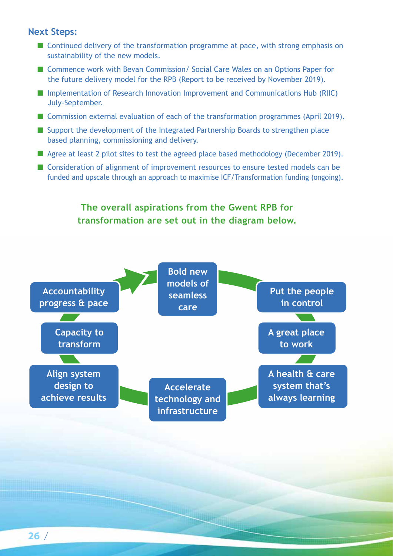#### **Next Steps:**

- Continued delivery of the transformation programme at pace, with strong emphasis on sustainability of the new models.
- Commence work with Bevan Commission/ Social Care Wales on an Options Paper for the future delivery model for the RPB (Report to be received by November 2019).
- Implementation of Research Innovation Improvement and Communications Hub (RIIC) July-September.
- Commission external evaluation of each of the transformation programmes (April 2019).
- Support the development of the Integrated Partnership Boards to strengthen place based planning, commissioning and delivery.
- Agree at least 2 pilot sites to test the agreed place based methodology (December 2019).
- Consideration of alignment of improvement resources to ensure tested models can be funded and upscale through an approach to maximise ICF/Transformation funding (ongoing).

## **The overall aspirations from the Gwent RPB for transformation are set out in the diagram below.**

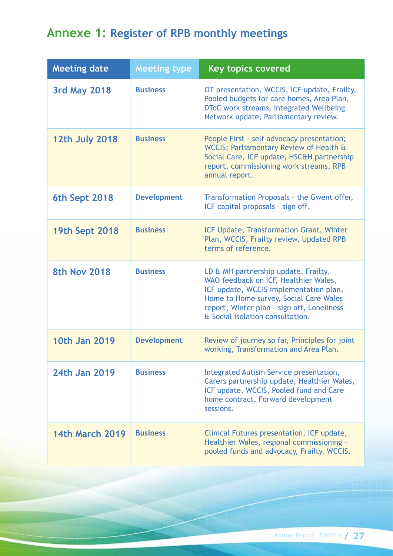# **Annexe 1: Register of RPB monthly meetings**

| <b>Meeting date</b>    | <b>Meeting type</b> | <b>Key topics covered</b>                                                                                                                                                                                                                           |
|------------------------|---------------------|-----------------------------------------------------------------------------------------------------------------------------------------------------------------------------------------------------------------------------------------------------|
| <b>3rd May 2018</b>    | <b>Business</b>     | OT presentation, WCCIS, ICF update, Frailty.<br>Pooled budgets for care homes, Area Plan,<br>DToC work streams, Integrated Wellbeing<br>Network update, Parliamentary review.                                                                       |
| <b>12th July 2018</b>  | <b>Business</b>     | People First - self advocacy presentation;<br>WCCIS; Parliamentary Review of Health &<br>Social Care, ICF update, HSC&H partnership<br>report, commissioning work streams, RPB<br>annual report.                                                    |
| <b>6th Sept 2018</b>   | <b>Development</b>  | Transformation Proposals - the Gwent offer,<br>ICF capital proposals - sign off.                                                                                                                                                                    |
| <b>19th Sept 2018</b>  | <b>Business</b>     | ICF Update, Transformation Grant, Winter<br>Plan, WCCIS, Frailty review, Updated RPB<br>terms of reference.                                                                                                                                         |
| <b>8th Nov 2018</b>    | <b>Business</b>     | LD & MH partnership update, Frailty,<br>WAO feedback on ICF, Healthier Wales,<br>ICF update, WCCIS implementation plan,<br>Home to Home survey, Social Care Wales<br>report, Winter plan - sign off, Loneliness<br>& Social isolation consultation. |
| 10th Jan 2019          | <b>Development</b>  | Review of journey so far, Principles for joint<br>working, Transformation and Area Plan.                                                                                                                                                            |
| 24th Jan 2019          | <b>Business</b>     | Integrated Autism Service presentation,<br>Carers partnership update, Healthier Wales,<br>ICF update, WCCIS, Pooled fund and Care<br>home contract, Forward development<br>sessions.                                                                |
| <b>14th March 2019</b> | <b>Business</b>     | Clinical Futures presentation, ICF update,<br>Healthier Wales, regional commissioning -<br>pooled funds and advocacy, Frailty, WCCIS.                                                                                                               |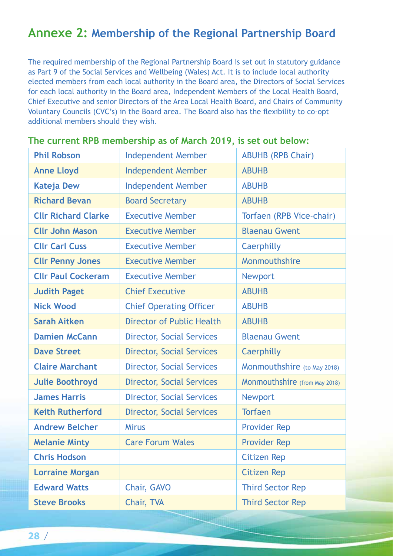The required membership of the Regional Partnership Board is set out in statutory guidance as Part 9 of the Social Services and Wellbeing (Wales) Act. It is to include local authority elected members from each local authority in the Board area, the Directors of Social Services for each local authority in the Board area, Independent Members of the Local Health Board, Chief Executive and senior Directors of the Area Local Health Board, and Chairs of Community Voluntary Councils (CVC's) in the Board area. The Board also has the flexibility to co-opt additional members should they wish.

| <b>Phil Robson</b>         | <b>Independent Member</b>        | <b>ABUHB (RPB Chair)</b>      |
|----------------------------|----------------------------------|-------------------------------|
| <b>Anne Lloyd</b>          | <b>Independent Member</b>        | <b>ABUHB</b>                  |
| <b>Kateja Dew</b>          | <b>Independent Member</b>        | <b>ABUHB</b>                  |
| <b>Richard Bevan</b>       | <b>Board Secretary</b>           | <b>ABUHB</b>                  |
| <b>CIIr Richard Clarke</b> | <b>Executive Member</b>          | Torfaen (RPB Vice-chair)      |
| <b>Cllr John Mason</b>     | <b>Executive Member</b>          | <b>Blaenau Gwent</b>          |
| <b>Cllr Carl Cuss</b>      | <b>Executive Member</b>          | Caerphilly                    |
| <b>Cllr Penny Jones</b>    | <b>Executive Member</b>          | Monmouthshire                 |
| <b>Cllr Paul Cockeram</b>  | <b>Executive Member</b>          | <b>Newport</b>                |
| <b>Judith Paget</b>        | <b>Chief Executive</b>           | <b>ABUHB</b>                  |
| <b>Nick Wood</b>           | <b>Chief Operating Officer</b>   | <b>ABUHB</b>                  |
| <b>Sarah Aitken</b>        | <b>Director of Public Health</b> | <b>ABUHB</b>                  |
| <b>Damien McCann</b>       | <b>Director, Social Services</b> | <b>Blaenau Gwent</b>          |
| <b>Dave Street</b>         | <b>Director, Social Services</b> | Caerphilly                    |
| <b>Claire Marchant</b>     | <b>Director, Social Services</b> | Monmouthshire (to May 2018)   |
| <b>Julie Boothroyd</b>     | <b>Director, Social Services</b> | Monmouthshire (from May 2018) |
| <b>James Harris</b>        | <b>Director, Social Services</b> | <b>Newport</b>                |
| <b>Keith Rutherford</b>    | <b>Director, Social Services</b> | <b>Torfaen</b>                |
| <b>Andrew Belcher</b>      | <b>Mirus</b>                     | <b>Provider Rep</b>           |
| <b>Melanie Minty</b>       | <b>Care Forum Wales</b>          | <b>Provider Rep</b>           |
| <b>Chris Hodson</b>        |                                  | <b>Citizen Rep</b>            |
| <b>Lorraine Morgan</b>     |                                  | <b>Citizen Rep</b>            |
| <b>Edward Watts</b>        | Chair, GAVO                      | <b>Third Sector Rep</b>       |
| <b>Steve Brooks</b>        | Chair, TVA                       | <b>Third Sector Rep</b>       |

#### **The current RPB membership as of March 2019, is set out below:**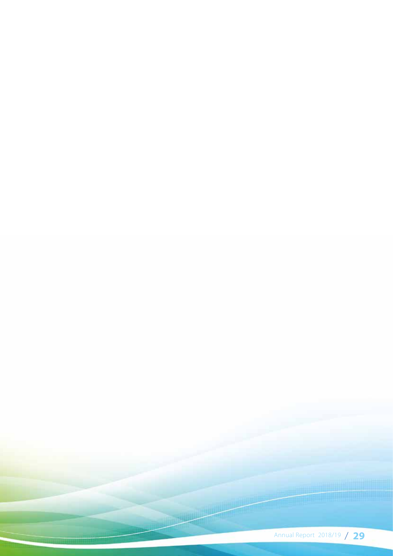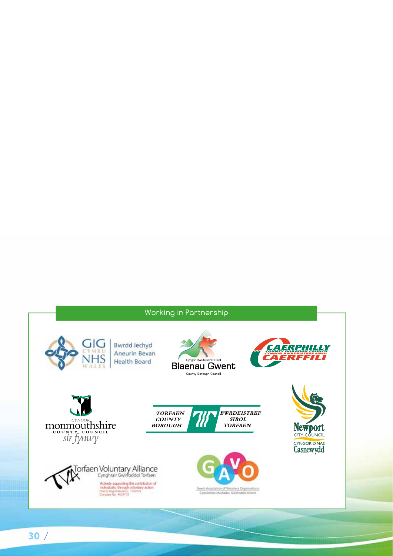#### Working in PartnershipGIG **Bwrdd lechyd** MRL Aneurin Bevan VHS Cyngor Bwrdeisdref Sirol **Health Board Blaenau Gwent** AL E County Borough Council **BWRDEISTREF TORFAEN** COUNTY<br>BOROUGH **SIROL** monmouthshire **ZZ TORFAEN** Newport CYNGOR DINAS Torfaen Voluntary Alliance<br>X<br>X Actively supporting the contribution of<br>individuals, through voluntary action<br>Comity Registration for 1007079<br>Company for 4003/13 Gwent Association of Voluntary Organis<br>Cymdeithas Mudiadau Gwirfoddol Gw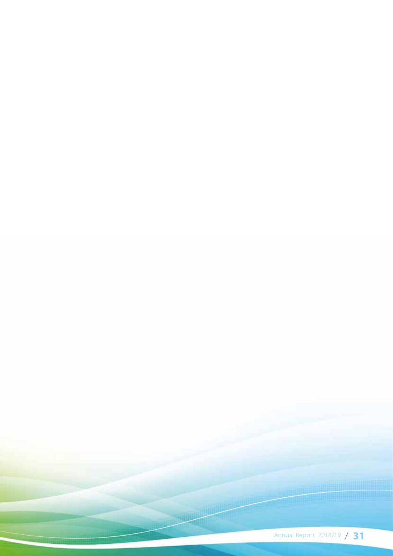